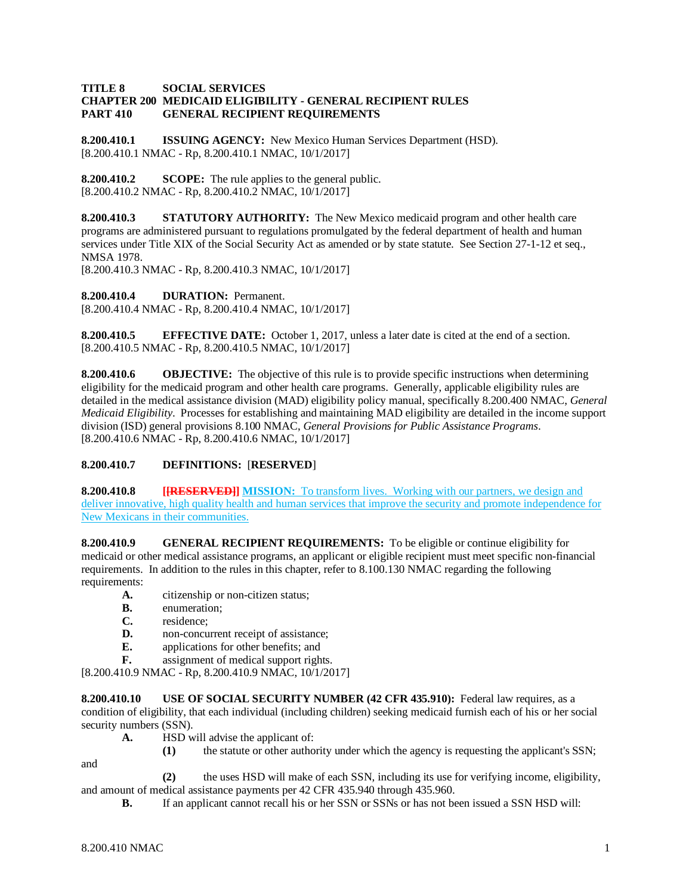### **TITLE 8 SOCIAL SERVICES CHAPTER 200 MEDICAID ELIGIBILITY - GENERAL RECIPIENT RULES GENERAL RECIPIENT REQUIREMENTS**

**8.200.410.1 ISSUING AGENCY:** New Mexico Human Services Department (HSD). [8.200.410.1 NMAC - Rp, 8.200.410.1 NMAC, 10/1/2017]

**8.200.410.2 SCOPE:** The rule applies to the general public. [8.200.410.2 NMAC - Rp, 8.200.410.2 NMAC, 10/1/2017]

**8.200.410.3 STATUTORY AUTHORITY:** The New Mexico medicaid program and other health care programs are administered pursuant to regulations promulgated by the federal department of health and human services under Title XIX of the Social Security Act as amended or by state statute. See Section 27-1-12 et seq., NMSA 1978.

[8.200.410.3 NMAC - Rp, 8.200.410.3 NMAC, 10/1/2017]

**8.200.410.4 DURATION:** Permanent.

[8.200.410.4 NMAC - Rp, 8.200.410.4 NMAC, 10/1/2017]

**8.200.410.5 EFFECTIVE DATE:** October 1, 2017, unless a later date is cited at the end of a section. [8.200.410.5 NMAC - Rp, 8.200.410.5 NMAC, 10/1/2017]

**8.200.410.6 OBJECTIVE:** The objective of this rule is to provide specific instructions when determining eligibility for the medicaid program and other health care programs. Generally, applicable eligibility rules are detailed in the medical assistance division (MAD) eligibility policy manual, specifically 8.200.400 NMAC, *General Medicaid Eligibility*. Processes for establishing and maintaining MAD eligibility are detailed in the income support division (ISD) general provisions 8.100 NMAC, *General Provisions for Public Assistance Programs*. [8.200.410.6 NMAC - Rp, 8.200.410.6 NMAC, 10/1/2017]

## **8.200.410.7 DEFINITIONS:** [**RESERVED**]

**8.200.410.8 [[RESERVED]] MISSION:** To transform lives. Working with our partners, we design and deliver innovative, high quality health and human services that improve the security and promote independence for New Mexicans in their communities.

**8.200.410.9 GENERAL RECIPIENT REQUIREMENTS:** To be eligible or continue eligibility for medicaid or other medical assistance programs, an applicant or eligible recipient must meet specific non-financial requirements. In addition to the rules in this chapter, refer to 8.100.130 NMAC regarding the following requirements:

- **A.** citizenship or non-citizen status;
- **B.** enumeration;<br>**C.** residence:
- **C.** residence;<br>**D.** non-concu
- non-concurrent receipt of assistance;
- **E.** applications for other benefits; and
- **F.** assignment of medical support rights.

[8.200.410.9 NMAC - Rp, 8.200.410.9 NMAC, 10/1/2017]

**8.200.410.10 USE OF SOCIAL SECURITY NUMBER (42 CFR 435.910):** Federal law requires, as a condition of eligibility, that each individual (including children) seeking medicaid furnish each of his or her social security numbers (SSN).

- **A.** HSD will advise the applicant of:
	- **(1)** the statute or other authority under which the agency is requesting the applicant's SSN;

and

**(2)** the uses HSD will make of each SSN, including its use for verifying income, eligibility, and amount of medical assistance payments per 42 CFR 435.940 through 435.960.

**B.** If an applicant cannot recall his or her SSN or SSNs or has not been issued a SSN HSD will: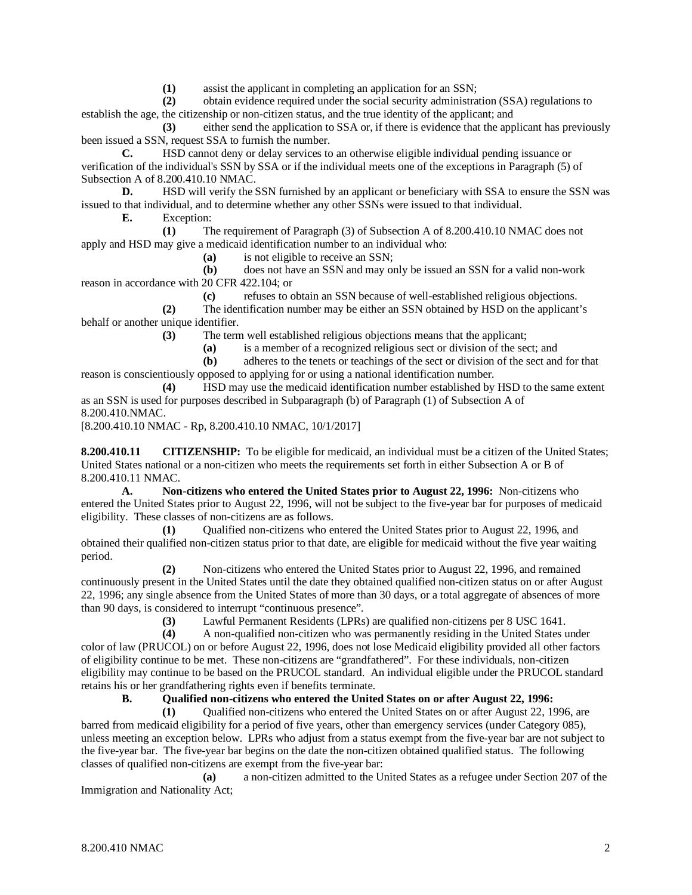**(1)** assist the applicant in completing an application for an SSN;

**(2)** obtain evidence required under the social security administration (SSA) regulations to establish the age, the citizenship or non-citizen status, and the true identity of the applicant; and

**(3)** either send the application to SSA or, if there is evidence that the applicant has previously been issued a SSN, request SSA to furnish the number.

**C.** HSD cannot deny or delay services to an otherwise eligible individual pending issuance or verification of the individual's SSN by SSA or if the individual meets one of the exceptions in Paragraph (5) of Subsection A of  $8.200.410.10$  NMAC.<br>D. HSD will verify the S

HSD will verify the SSN furnished by an applicant or beneficiary with SSA to ensure the SSN was issued to that individual, and to determine whether any other SSNs were issued to that individual.

**E.** Exception:

**(1)** The requirement of Paragraph (3) of Subsection A of 8.200.410.10 NMAC does not apply and HSD may give a medicaid identification number to an individual who:

**(a)** is not eligible to receive an SSN;

**(b)** does not have an SSN and may only be issued an SSN for a valid non-work reason in accordance with 20 CFR 422.104; or

**(c)** refuses to obtain an SSN because of well-established religious objections. **(2)** The identification number may be either an SSN obtained by HSD on the applicant's behalf or another unique identifier.

**(3)** The term well established religious objections means that the applicant;

**(a)** is a member of a recognized religious sect or division of the sect; and

**(b)** adheres to the tenets or teachings of the sect or division of the sect and for that reason is conscientiously opposed to applying for or using a national identification number.

**(4)** HSD may use the medicaid identification number established by HSD to the same extent as an SSN is used for purposes described in Subparagraph (b) of Paragraph (1) of Subsection A of 8.200.410.NMAC.

[8.200.410.10 NMAC - Rp, 8.200.410.10 NMAC, 10/1/2017]

**8.200.410.11 CITIZENSHIP:** To be eligible for medicaid, an individual must be a citizen of the United States; United States national or a non-citizen who meets the requirements set forth in either Subsection A or B of 8.200.410.11 NMAC.

**A. Non-citizens who entered the United States prior to August 22, 1996:** Non-citizens who entered the United States prior to August 22, 1996, will not be subject to the five-year bar for purposes of medicaid eligibility. These classes of non-citizens are as follows.

**(1)** Qualified non-citizens who entered the United States prior to August 22, 1996, and obtained their qualified non-citizen status prior to that date, are eligible for medicaid without the five year waiting period.

**(2)** Non-citizens who entered the United States prior to August 22, 1996, and remained continuously present in the United States until the date they obtained qualified non-citizen status on or after August 22, 1996; any single absence from the United States of more than 30 days, or a total aggregate of absences of more than 90 days, is considered to interrupt "continuous presence".<br>(3) Lawful Permanent Residents (LPRs)

**(3)** Lawful Permanent Residents (LPRs) are qualified non-citizens per 8 USC 1641.

**(4)** A non-qualified non-citizen who was permanently residing in the United States under color of law (PRUCOL) on or before August 22, 1996, does not lose Medicaid eligibility provided all other factors of eligibility continue to be met. These non-citizens are "grandfathered". For these individuals, non-citizen eligibility may continue to be based on the PRUCOL standard. An individual eligible under the PRUCOL standard retains his or her grandfathering rights even if benefits terminate.

**B. Qualified non-citizens who entered the United States on or after August 22, 1996:**

**(1)** Qualified non-citizens who entered the United States on or after August 22, 1996, are barred from medicaid eligibility for a period of five years, other than emergency services (under Category 085), unless meeting an exception below. LPRs who adjust from a status exempt from the five-year bar are not subject to the five-year bar. The five-year bar begins on the date the non-citizen obtained qualified status. The following classes of qualified non-citizens are exempt from the five-year bar:

**(a)** a non-citizen admitted to the United States as a refugee under Section 207 of the Immigration and Nationality Act;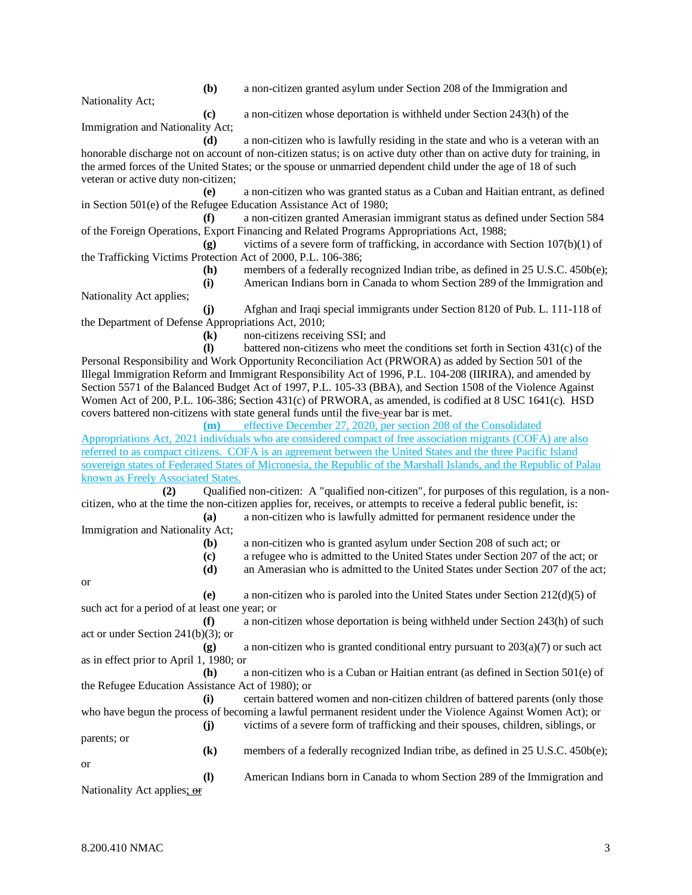**(b)** a non-citizen granted asylum under Section 208 of the Immigration and

Nationality Act;

**(c)** a non-citizen whose deportation is withheld under Section 243(h) of the

Immigration and Nationality Act;

**(d)** a non-citizen who is lawfully residing in the state and who is a veteran with an honorable discharge not on account of non-citizen status; is on active duty other than on active duty for training, in the armed forces of the United States; or the spouse or unmarried dependent child under the age of 18 of such veteran or active duty non-citizen;

**(e)** a non-citizen who was granted status as a Cuban and Haitian entrant, as defined in Section 501(e) of the Refugee Education Assistance Act of 1980;

**(f)** a non-citizen granted Amerasian immigrant status as defined under Section 584 of the Foreign Operations, Export Financing and Related Programs Appropriations Act, 1988;

**(g)** victims of a severe form of trafficking, in accordance with Section 107(b)(1) of the Trafficking Victims Protection Act of 2000, P.L. 106-386;

> **(h)** members of a federally recognized Indian tribe, as defined in 25 U.S.C. 450b(e); **(i)** American Indians born in Canada to whom Section 289 of the Immigration and

Nationality Act applies; **(j)** Afghan and Iraqi special immigrants under Section 8120 of Pub. L. 111-118 of the Department of Defense Appropriations Act, 2010;

**(k)** non-citizens receiving SSI; and

**(l)** battered non-citizens who meet the conditions set forth in Section 431(c) of the Personal Responsibility and Work Opportunity Reconciliation Act (PRWORA) as added by Section 501 of the Illegal Immigration Reform and Immigrant Responsibility Act of 1996, P.L. 104-208 (IIRIRA), and amended by Section 5571 of the Balanced Budget Act of 1997, P.L. 105-33 (BBA), and Section 1508 of the Violence Against Women Act of 200, P.L. 106-386; Section 431(c) of PRWORA, as amended, is codified at 8 USC 1641(c). HSD covers battered non-citizens with state general funds until the five-year bar is met.

**(m)** effective December 27, 2020, per section 208 of the Consolidated Appropriations Act, 2021 individuals who are considered compact of free association migrants (COFA) are also referred to as compact citizens. COFA is an agreement between the United States and the three Pacific Island sovereign states of Federated States of Micronesia, the Republic of the Marshall Islands, and the Republic of Palau known as Freely Associated States.

**(2)** Qualified non-citizen: A "qualified non-citizen", for purposes of this regulation, is a noncitizen, who at the time the non-citizen applies for, receives, or attempts to receive a federal public benefit, is: **(a)** a non-citizen who is lawfully admitted for permanent residence under the

Immigration and Nationality Act; **(b)** a non-citizen who is granted asylum under Section 208 of such act; or

- **(c)** a refugee who is admitted to the United States under Section 207 of the act; or
	- **(d)** an Amerasian who is admitted to the United States under Section 207 of the act;

or

**(e)** a non-citizen who is paroled into the United States under Section 212(d)(5) of such act for a period of at least one year; or

**(f)** a non-citizen whose deportation is being withheld under Section 243(h) of such act or under Section 241(b)(3); or

**(g)** a non-citizen who is granted conditional entry pursuant to 203(a)(7) or such act as in effect prior to April 1, 1980; or

**(h)** a non-citizen who is a Cuban or Haitian entrant (as defined in Section 501(e) of the Refugee Education Assistance Act of 1980); or

**(i)** certain battered women and non-citizen children of battered parents (only those who have begun the process of becoming a lawful permanent resident under the Violence Against Women Act); or **(j)** victims of a severe form of trafficking and their spouses, children, siblings, or parents; or **(k)** members of a federally recognized Indian tribe, as defined in 25 U.S.C. 450b(e);

or **(l)** American Indians born in Canada to whom Section 289 of the Immigration and

Nationality Act applies; or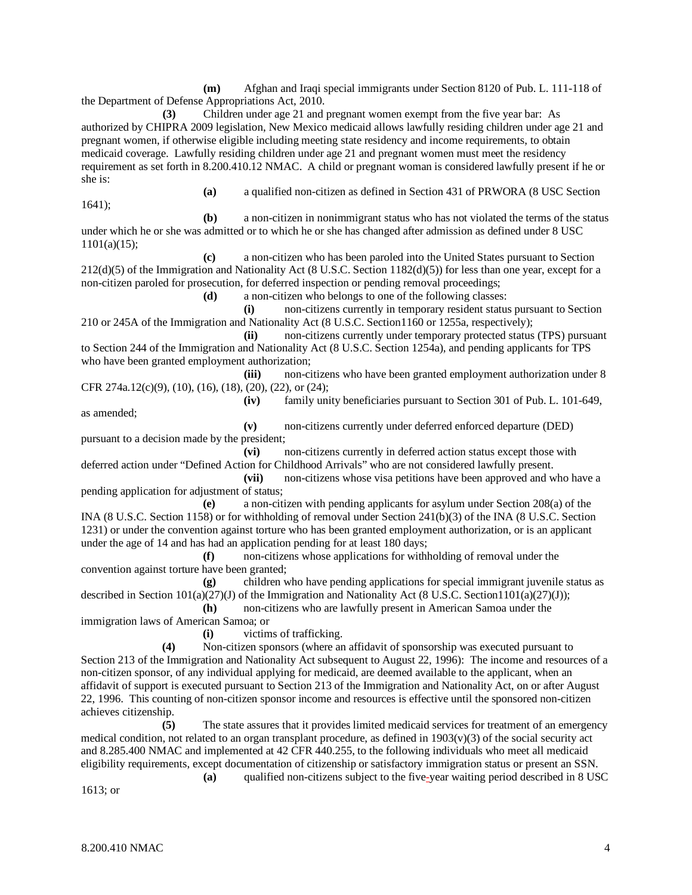**(m)** Afghan and Iraqi special immigrants under Section 8120 of Pub. L. 111-118 of the Department of Defense Appropriations Act, 2010.

**(3)** Children under age 21 and pregnant women exempt from the five year bar: As authorized by CHIPRA 2009 legislation, New Mexico medicaid allows lawfully residing children under age 21 and pregnant women, if otherwise eligible including meeting state residency and income requirements, to obtain medicaid coverage. Lawfully residing children under age 21 and pregnant women must meet the residency requirement as set forth in 8.200.410.12 NMAC. A child or pregnant woman is considered lawfully present if he or she is:

1641);

**(a)** a qualified non-citizen as defined in Section 431 of PRWORA (8 USC Section

**(b)** a non-citizen in nonimmigrant status who has not violated the terms of the status under which he or she was admitted or to which he or she has changed after admission as defined under 8 USC 1101(a)(15);

**(c)** a non-citizen who has been paroled into the United States pursuant to Section 212(d)(5) of the Immigration and Nationality Act (8 U.S.C. Section 1182(d)(5)) for less than one year, except for a non-citizen paroled for prosecution, for deferred inspection or pending removal proceedings;

**(d)** a non-citizen who belongs to one of the following classes:

**(i)** non-citizens currently in temporary resident status pursuant to Section 210 or 245A of the Immigration and Nationality Act (8 U.S.C. Section1160 or 1255a, respectively);

**(ii)** non-citizens currently under temporary protected status (TPS) pursuant to Section 244 of the Immigration and Nationality Act (8 U.S.C. Section 1254a), and pending applicants for TPS who have been granted employment authorization;

**(iii)** non-citizens who have been granted employment authorization under 8 CFR 274a.12(c)(9), (10), (16), (18), (20), (22), or (24);

**(iv)** family unity beneficiaries pursuant to Section 301 of Pub. L. 101-649,

as amended;

**(v)** non-citizens currently under deferred enforced departure (DED) pursuant to a decision made by the president;

**(vi)** non-citizens currently in deferred action status except those with deferred action under "Defined Action for Childhood Arrivals" who are not considered lawfully present.

**(vii)** non-citizens whose visa petitions have been approved and who have a pending application for adjustment of status;

**(e)** a non-citizen with pending applicants for asylum under Section 208(a) of the INA (8 U.S.C. Section 1158) or for withholding of removal under Section 241(b)(3) of the INA (8 U.S.C. Section 1231) or under the convention against torture who has been granted employment authorization, or is an applicant under the age of 14 and has had an application pending for at least 180 days;

**(f)** non-citizens whose applications for withholding of removal under the convention against torture have been granted;

**(g)** children who have pending applications for special immigrant juvenile status as described in Section 101(a)(27)(J) of the Immigration and Nationality Act (8 U.S.C. Section1101(a)(27)(J));

**(h)** non-citizens who are lawfully present in American Samoa under the immigration laws of American Samoa; or

**(i)** victims of trafficking.

**(4)** Non-citizen sponsors (where an affidavit of sponsorship was executed pursuant to Section 213 of the Immigration and Nationality Act subsequent to August 22, 1996): The income and resources of a non-citizen sponsor, of any individual applying for medicaid, are deemed available to the applicant, when an affidavit of support is executed pursuant to Section 213 of the Immigration and Nationality Act, on or after August 22, 1996. This counting of non-citizen sponsor income and resources is effective until the sponsored non-citizen achieves citizenship.

**(5)** The state assures that it provides limited medicaid services for treatment of an emergency medical condition, not related to an organ transplant procedure, as defined in  $1903(v)(3)$  of the social security act and 8.285.400 NMAC and implemented at 42 CFR 440.255, to the following individuals who meet all medicaid eligibility requirements, except documentation of citizenship or satisfactory immigration status or present an SSN. **(a)** qualified non-citizens subject to the five-year waiting period described in 8 USC

1613; or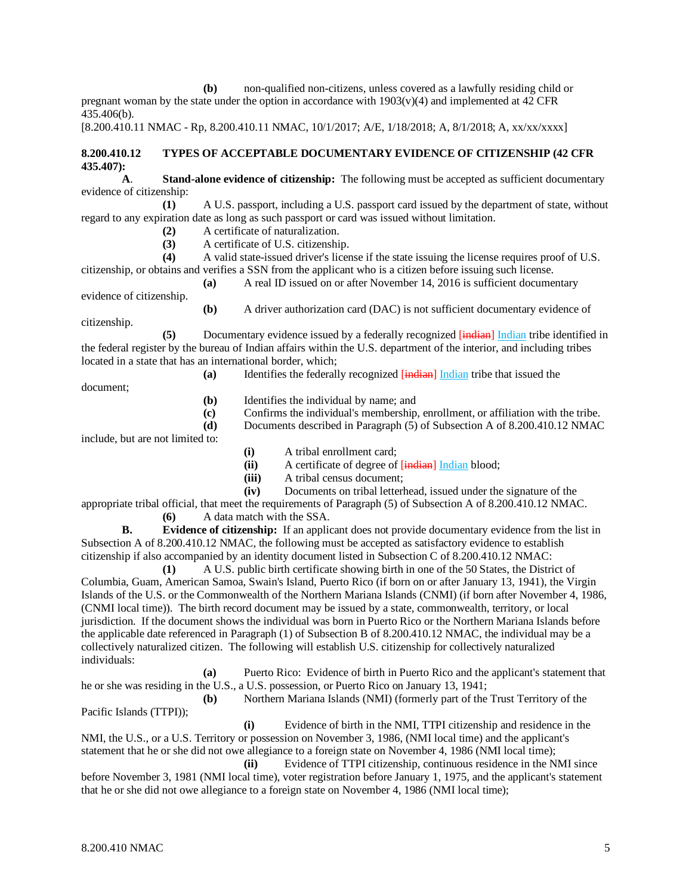**(b)** non-qualified non-citizens, unless covered as a lawfully residing child or pregnant woman by the state under the option in accordance with  $1903(v)(4)$  and implemented at 42 CFR 435.406(b).

[8.200.410.11 NMAC - Rp, 8.200.410.11 NMAC, 10/1/2017; A/E, 1/18/2018; A, 8/1/2018; A, xx/xx/xxxx]

# **8.200.410.12 TYPES OF ACCEPTABLE DOCUMENTARY EVIDENCE OF CITIZENSHIP (42 CFR 435.407):**

**A**. **Stand-alone evidence of citizenship:** The following must be accepted as sufficient documentary evidence of citizenship:

**(1)** A U.S. passport, including a U.S. passport card issued by the department of state, without regard to any expiration date as long as such passport or card was issued without limitation.

(2) A certificate of naturalization.<br> **(3)** A certificate of U.S. citizenship

**(3)** A certificate of U.S. citizenship.

**(4)** A valid state-issued driver's license if the state issuing the license requires proof of U.S. citizenship, or obtains and verifies a SSN from the applicant who is a citizen before issuing such license. **(a)** A real ID issued on or after November 14, 2016 is sufficient documentary

evidence of citizenship.

**(b)** A driver authorization card (DAC) is not sufficient documentary evidence of

citizenship.

**(5)** Documentary evidence issued by a federally recognized  $\overline{[indian]}$  Indian tribe identified in the federal register by the bureau of Indian affairs within the U.S. department of the interior, and including tribes located in a state that has an international border, which;

**(a)** Identifies the federally recognized [indian] Indian tribe that issued the

document;

- **(b)** Identifies the individual by name; and
- **(c)** Confirms the individual's membership, enrollment, or affiliation with the tribe.
- **(d)** Documents described in Paragraph (5) of Subsection A of 8.200.410.12 NMAC

include, but are not limited to:

- **(i)** A tribal enrollment card;
- (ii) A certificate of degree of [indian] Indian blood;<br>(iii) A tribal census document:
- **(iii)** A tribal census document;
- **(iv)** Documents on tribal letterhead, issued under the signature of the

appropriate tribal official, that meet the requirements of Paragraph (5) of Subsection A of 8.200.410.12 NMAC. **(6)** A data match with the SSA.

**B. Evidence of citizenship:** If an applicant does not provide documentary evidence from the list in Subsection A of 8.200.410.12 NMAC, the following must be accepted as satisfactory evidence to establish citizenship if also accompanied by an identity document listed in Subsection C of 8.200.410.12 NMAC:

**(1)** A U.S. public birth certificate showing birth in one of the 50 States, the District of Columbia, Guam, American Samoa, Swain's Island, Puerto Rico (if born on or after January 13, 1941), the Virgin Islands of the U.S. or the Commonwealth of the Northern Mariana Islands (CNMI) (if born after November 4, 1986, (CNMI local time)). The birth record document may be issued by a state, commonwealth, territory, or local jurisdiction. If the document shows the individual was born in Puerto Rico or the Northern Mariana Islands before the applicable date referenced in Paragraph (1) of Subsection B of 8.200.410.12 NMAC, the individual may be a collectively naturalized citizen. The following will establish U.S. citizenship for collectively naturalized individuals:

**(a)** Puerto Rico: Evidence of birth in Puerto Rico and the applicant's statement that he or she was residing in the U.S., a U.S. possession, or Puerto Rico on January 13, 1941;

**(b)** Northern Mariana Islands (NMI) (formerly part of the Trust Territory of the Pacific Islands (TTPI));

**(i)** Evidence of birth in the NMI, TTPI citizenship and residence in the NMI, the U.S., or a U.S. Territory or possession on November 3, 1986, (NMI local time) and the applicant's statement that he or she did not owe allegiance to a foreign state on November 4, 1986 (NMI local time);

**(ii)** Evidence of TTPI citizenship, continuous residence in the NMI since before November 3, 1981 (NMI local time), voter registration before January 1, 1975, and the applicant's statement that he or she did not owe allegiance to a foreign state on November 4, 1986 (NMI local time);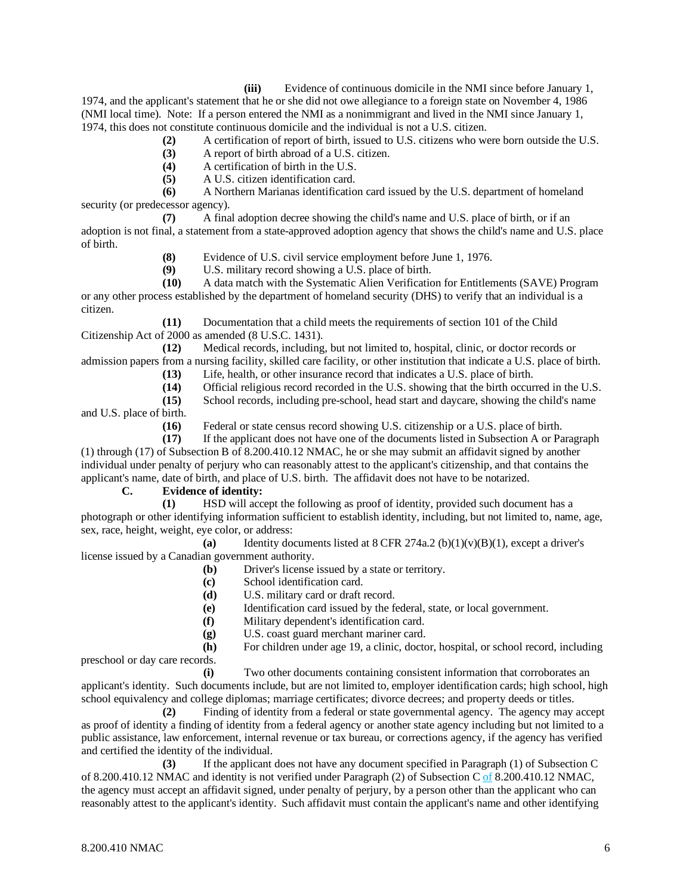**(iii)** Evidence of continuous domicile in the NMI since before January 1, 1974, and the applicant's statement that he or she did not owe allegiance to a foreign state on November 4, 1986 (NMI local time). Note: If a person entered the NMI as a nonimmigrant and lived in the NMI since January 1, 1974, this does not constitute continuous domicile and the individual is not a U.S. citizen.

- **(2)** A certification of report of birth, issued to U.S. citizens who were born outside the U.S.
- **(3)** A report of birth abroad of a U.S. citizen.
- **(4)** A certification of birth in the U.S.
- **(5)** A U.S. citizen identification card.

**(6)** A Northern Marianas identification card issued by the U.S. department of homeland security (or predecessor agency).

**(7)** A final adoption decree showing the child's name and U.S. place of birth, or if an adoption is not final, a statement from a state-approved adoption agency that shows the child's name and U.S. place of birth.

**(8)** Evidence of U.S. civil service employment before June 1, 1976.

**(9)** U.S. military record showing a U.S. place of birth.

**(10)** A data match with the Systematic Alien Verification for Entitlements (SAVE) Program or any other process established by the department of homeland security (DHS) to verify that an individual is a citizen.

**(11)** Documentation that a child meets the requirements of section 101 of the Child Citizenship Act of 2000 as amended (8 U.S.C. 1431).

**(12)** Medical records, including, but not limited to, hospital, clinic, or doctor records or admission papers from a nursing facility, skilled care facility, or other institution that indicate a U.S. place of birth.

- **(13)** Life, health, or other insurance record that indicates a U.S. place of birth.
- **(14)** Official religious record recorded in the U.S. showing that the birth occurred in the U.S.

**(15)** School records, including pre-school, head start and daycare, showing the child's name and U.S. place of birth.

**(16)** Federal or state census record showing U.S. citizenship or a U.S. place of birth.

**(17)** If the applicant does not have one of the documents listed in Subsection A or Paragraph (1) through (17) of Subsection B of 8.200.410.12 NMAC, he or she may submit an affidavit signed by another individual under penalty of perjury who can reasonably attest to the applicant's citizenship, and that contains the applicant's name, date of birth, and place of U.S. birth. The affidavit does not have to be notarized.

# **C. Evidence of identity:**

**(1)** HSD will accept the following as proof of identity, provided such document has a photograph or other identifying information sufficient to establish identity, including, but not limited to, name, age, sex, race, height, weight, eye color, or address:

(a) Identity documents listed at  $8$  CFR 274a.2 (b)(1)(v)(B)(1), except a driver's license issued by a Canadian government authority.

- **(b)** Driver's license issued by a state or territory.
- **(c)** School identification card.
- **(d)** U.S. military card or draft record.
- **(e)** Identification card issued by the federal, state, or local government.
- **(f)** Military dependent's identification card.
- **(g)** U.S. coast guard merchant mariner card.

**(h)** For children under age 19, a clinic, doctor, hospital, or school record, including preschool or day care records.

**(i)** Two other documents containing consistent information that corroborates an applicant's identity. Such documents include, but are not limited to, employer identification cards; high school, high school equivalency and college diplomas; marriage certificates; divorce decrees; and property deeds or titles.

**(2)** Finding of identity from a federal or state governmental agency. The agency may accept as proof of identity a finding of identity from a federal agency or another state agency including but not limited to a public assistance, law enforcement, internal revenue or tax bureau, or corrections agency, if the agency has verified and certified the identity of the individual.

**(3)** If the applicant does not have any document specified in Paragraph (1) of Subsection C of 8.200.410.12 NMAC and identity is not verified under Paragraph (2) of Subsection C of 8.200.410.12 NMAC, the agency must accept an affidavit signed, under penalty of perjury, by a person other than the applicant who can reasonably attest to the applicant's identity. Such affidavit must contain the applicant's name and other identifying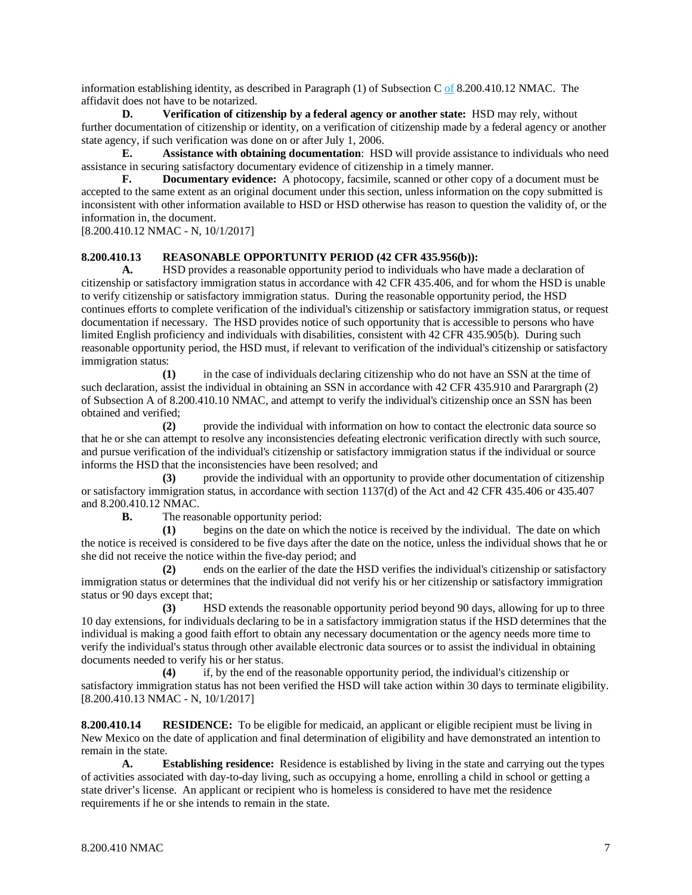information establishing identity, as described in Paragraph (1) of Subsection C of 8.200.410.12 NMAC. The affidavit does not have to be notarized.

**D. Verification of citizenship by a federal agency or another state:** HSD may rely, without further documentation of citizenship or identity, on a verification of citizenship made by a federal agency or another state agency, if such verification was done on or after July 1, 2006.

**E. Assistance with obtaining documentation**: HSD will provide assistance to individuals who need assistance in securing satisfactory documentary evidence of citizenship in a timely manner.

**F. Documentary evidence:** A photocopy, facsimile, scanned or other copy of a document must be accepted to the same extent as an original document under this section, unless information on the copy submitted is inconsistent with other information available to HSD or HSD otherwise has reason to question the validity of, or the information in, the document.

[8.200.410.12 NMAC - N, 10/1/2017]

#### **8.200.410.13 REASONABLE OPPORTUNITY PERIOD (42 CFR 435.956(b)):**

**A.** HSD provides a reasonable opportunity period to individuals who have made a declaration of citizenship or satisfactory immigration status in accordance with 42 CFR 435.406, and for whom the HSD is unable to verify citizenship or satisfactory immigration status. During the reasonable opportunity period, the HSD continues efforts to complete verification of the individual's citizenship or satisfactory immigration status, or request documentation if necessary. The HSD provides notice of such opportunity that is accessible to persons who have limited English proficiency and individuals with disabilities, consistent with 42 CFR 435.905(b). During such reasonable opportunity period, the HSD must, if relevant to verification of the individual's citizenship or satisfactory immigration status:

**(1)** in the case of individuals declaring citizenship who do not have an SSN at the time of such declaration, assist the individual in obtaining an SSN in accordance with 42 CFR 435.910 and Parargraph (2) of Subsection A of 8.200.410.10 NMAC, and attempt to verify the individual's citizenship once an SSN has been obtained and verified;

**(2)** provide the individual with information on how to contact the electronic data source so that he or she can attempt to resolve any inconsistencies defeating electronic verification directly with such source, and pursue verification of the individual's citizenship or satisfactory immigration status if the individual or source informs the HSD that the inconsistencies have been resolved; and

**(3)** provide the individual with an opportunity to provide other documentation of citizenship or satisfactory immigration status, in accordance with section 1137(d) of the Act and 42 CFR 435.406 or 435.407 and 8.200.410.12 NMAC.

**B.** The reasonable opportunity period:

**(1)** begins on the date on which the notice is received by the individual. The date on which the notice is received is considered to be five days after the date on the notice, unless the individual shows that he or she did not receive the notice within the five-day period; and

**(2)** ends on the earlier of the date the HSD verifies the individual's citizenship or satisfactory immigration status or determines that the individual did not verify his or her citizenship or satisfactory immigration status or 90 days except that;

**(3)** HSD extends the reasonable opportunity period beyond 90 days, allowing for up to three 10 day extensions, for individuals declaring to be in a satisfactory immigration status if the HSD determines that the individual is making a good faith effort to obtain any necessary documentation or the agency needs more time to verify the individual's status through other available electronic data sources or to assist the individual in obtaining documents needed to verify his or her status.

**(4)** if, by the end of the reasonable opportunity period, the individual's citizenship or satisfactory immigration status has not been verified the HSD will take action within 30 days to terminate eligibility. [8.200.410.13 NMAC - N, 10/1/2017]

**8.200.410.14 RESIDENCE:** To be eligible for medicaid, an applicant or eligible recipient must be living in New Mexico on the date of application and final determination of eligibility and have demonstrated an intention to remain in the state.

**A. Establishing residence:** Residence is established by living in the state and carrying out the types of activities associated with day-to-day living, such as occupying a home, enrolling a child in school or getting a state driver's license. An applicant or recipient who is homeless is considered to have met the residence requirements if he or she intends to remain in the state.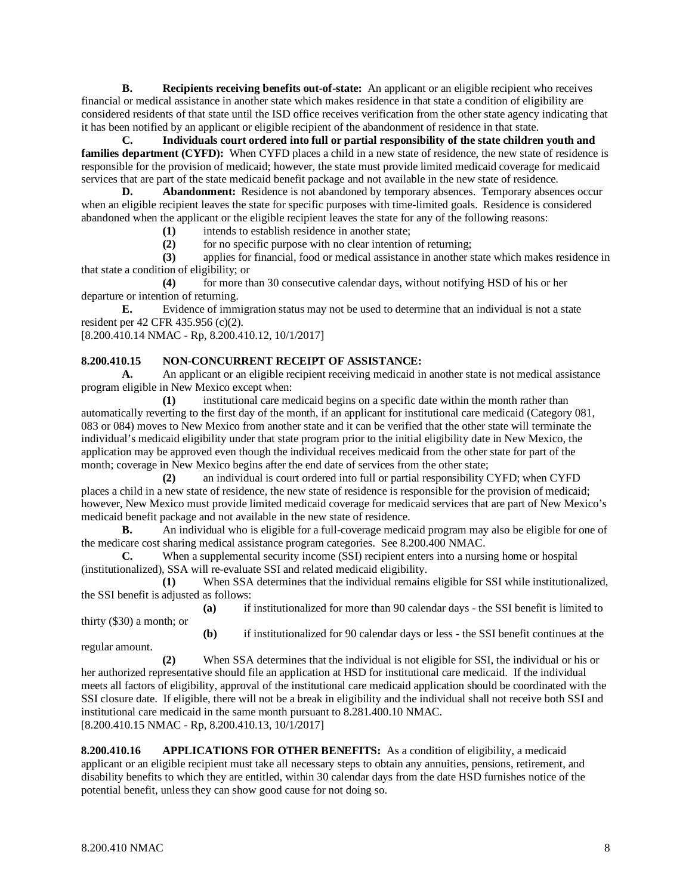**B. Recipients receiving benefits out-of-state:** An applicant or an eligible recipient who receives financial or medical assistance in another state which makes residence in that state a condition of eligibility are considered residents of that state until the ISD office receives verification from the other state agency indicating that it has been notified by an applicant or eligible recipient of the abandonment of residence in that state.

**C. Individuals court ordered into full or partial responsibility of the state children youth and families department (CYFD):** When CYFD places a child in a new state of residence, the new state of residence is responsible for the provision of medicaid; however, the state must provide limited medicaid coverage for medicaid services that are part of the state medicaid benefit package and not available in the new state of residence.<br> **D.** Abandonment: Residence is not abandoned by temporary absences. Temporary absences

Abandonment: Residence is not abandoned by temporary absences. Temporary absences occur when an eligible recipient leaves the state for specific purposes with time-limited goals. Residence is considered abandoned when the applicant or the eligible recipient leaves the state for any of the following reasons:

(1) intends to establish residence in another state;<br>(2) for no specific purpose with no clear intention

**(2)** for no specific purpose with no clear intention of returning;

**(3)** applies for financial, food or medical assistance in another state which makes residence in that state a condition of eligibility; or

**(4)** for more than 30 consecutive calendar days, without notifying HSD of his or her departure or intention of returning.

**E.** Evidence of immigration status may not be used to determine that an individual is not a state resident per 42 CFR 435.956 (c)(2).

[8.200.410.14 NMAC - Rp, 8.200.410.12, 10/1/2017]

#### **8.200.410.15 NON-CONCURRENT RECEIPT OF ASSISTANCE:**

**A.** An applicant or an eligible recipient receiving medicaid in another state is not medical assistance program eligible in New Mexico except when:

**(1)** institutional care medicaid begins on a specific date within the month rather than automatically reverting to the first day of the month, if an applicant for institutional care medicaid (Category 081, 083 or 084) moves to New Mexico from another state and it can be verified that the other state will terminate the individual's medicaid eligibility under that state program prior to the initial eligibility date in New Mexico, the application may be approved even though the individual receives medicaid from the other state for part of the month; coverage in New Mexico begins after the end date of services from the other state;

**(2)** an individual is court ordered into full or partial responsibility CYFD; when CYFD places a child in a new state of residence, the new state of residence is responsible for the provision of medicaid; however, New Mexico must provide limited medicaid coverage for medicaid services that are part of New Mexico's medicaid benefit package and not available in the new state of residence.<br> **B.** An individual who is eligible for a full-coverage medical

**B.** An individual who is eligible for a full-coverage medicaid program may also be eligible for one of the medicare cost sharing medical assistance program categories. See 8.200.400 NMAC.

**C.** When a supplemental security income (SSI) recipient enters into a nursing home or hospital (institutionalized), SSA will re-evaluate SSI and related medicaid eligibility.

**(1)** When SSA determines that the individual remains eligible for SSI while institutionalized, the SSI benefit is adjusted as follows:

**(a)** if institutionalized for more than 90 calendar days - the SSI benefit is limited to thirty (\$30) a month; or

**(b)** if institutionalized for 90 calendar days or less - the SSI benefit continues at the regular amount.

**(2)** When SSA determines that the individual is not eligible for SSI, the individual or his or her authorized representative should file an application at HSD for institutional care medicaid. If the individual meets all factors of eligibility, approval of the institutional care medicaid application should be coordinated with the SSI closure date. If eligible, there will not be a break in eligibility and the individual shall not receive both SSI and institutional care medicaid in the same month pursuant to 8.281.400.10 NMAC. [8.200.410.15 NMAC - Rp, 8.200.410.13, 10/1/2017]

**8.200.410.16 APPLICATIONS FOR OTHER BENEFITS:** As a condition of eligibility, a medicaid applicant or an eligible recipient must take all necessary steps to obtain any annuities, pensions, retirement, and disability benefits to which they are entitled, within 30 calendar days from the date HSD furnishes notice of the potential benefit, unless they can show good cause for not doing so.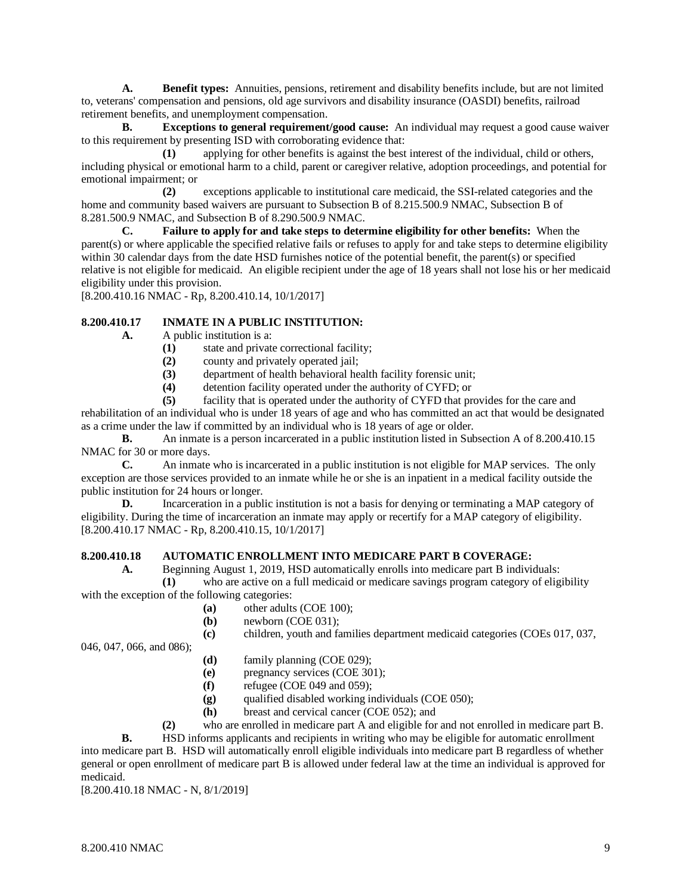**A. Benefit types:** Annuities, pensions, retirement and disability benefits include, but are not limited to, veterans' compensation and pensions, old age survivors and disability insurance (OASDI) benefits, railroad retirement benefits, and unemployment compensation.

**B. Exceptions to general requirement/good cause:** An individual may request a good cause waiver to this requirement by presenting ISD with corroborating evidence that:

**(1)** applying for other benefits is against the best interest of the individual, child or others, including physical or emotional harm to a child, parent or caregiver relative, adoption proceedings, and potential for emotional impairment; or

**(2)** exceptions applicable to institutional care medicaid, the SSI-related categories and the home and community based waivers are pursuant to Subsection B of 8.215.500.9 NMAC, Subsection B of 8.281.500.9 NMAC, and Subsection B of 8.290.500.9 NMAC.

**C. Failure to apply for and take steps to determine eligibility for other benefits:** When the parent(s) or where applicable the specified relative fails or refuses to apply for and take steps to determine eligibility within 30 calendar days from the date HSD furnishes notice of the potential benefit, the parent(s) or specified relative is not eligible for medicaid. An eligible recipient under the age of 18 years shall not lose his or her medicaid eligibility under this provision.

[8.200.410.16 NMAC - Rp, 8.200.410.14, 10/1/2017]

## **8.200.410.17 INMATE IN A PUBLIC INSTITUTION:**

- **A.** A public institution is a:
	- **(1)** state and private correctional facility;
	- **(2)** county and privately operated jail;
	- (3) department of health behavioral health facility forensic unit;<br>(4) detention facility operated under the authority of CYFD; or
	- **(4)** detention facility operated under the authority of CYFD; or
	- **(5)** facility that is operated under the authority of CYFD that provides for the care and

rehabilitation of an individual who is under 18 years of age and who has committed an act that would be designated as a crime under the law if committed by an individual who is 18 years of age or older.

**B.** An inmate is a person incarcerated in a public institution listed in Subsection A of 8.200.410.15 NMAC for 30 or more days.

**C.** An inmate who is incarcerated in a public institution is not eligible for MAP services. The only exception are those services provided to an inmate while he or she is an inpatient in a medical facility outside the public institution for 24 hours or longer.

**D.** Incarceration in a public institution is not a basis for denying or terminating a MAP category of eligibility. During the time of incarceration an inmate may apply or recertify for a MAP category of eligibility. [8.200.410.17 NMAC - Rp, 8.200.410.15, 10/1/2017]

## **8.200.410.18 AUTOMATIC ENROLLMENT INTO MEDICARE PART B COVERAGE:**

**A.** Beginning August 1, 2019, HSD automatically enrolls into medicare part B individuals:

**(1)** who are active on a full medicaid or medicare savings program category of eligibility with the exception of the following categories:

- (a) other adults (COE 100);<br>(b) newborn (COE 031):
- newborn (COE 031);

**(c)** children, youth and families department medicaid categories (COEs 017, 037,

046, 047, 066, and 086);

- **(d)** family planning (COE 029);
- **(e)** pregnancy services (COE 301);
- **(f)** refugee (COE 049 and 059);
- **(g)** qualified disabled working individuals (COE 050);
- **(h)** breast and cervical cancer (COE 052); and

**(2)** who are enrolled in medicare part A and eligible for and not enrolled in medicare part B.

**B.** HSD informs applicants and recipients in writing who may be eligible for automatic enrollment into medicare part B. HSD will automatically enroll eligible individuals into medicare part B regardless of whether general or open enrollment of medicare part B is allowed under federal law at the time an individual is approved for medicaid.

[8.200.410.18 NMAC - N, 8/1/2019]